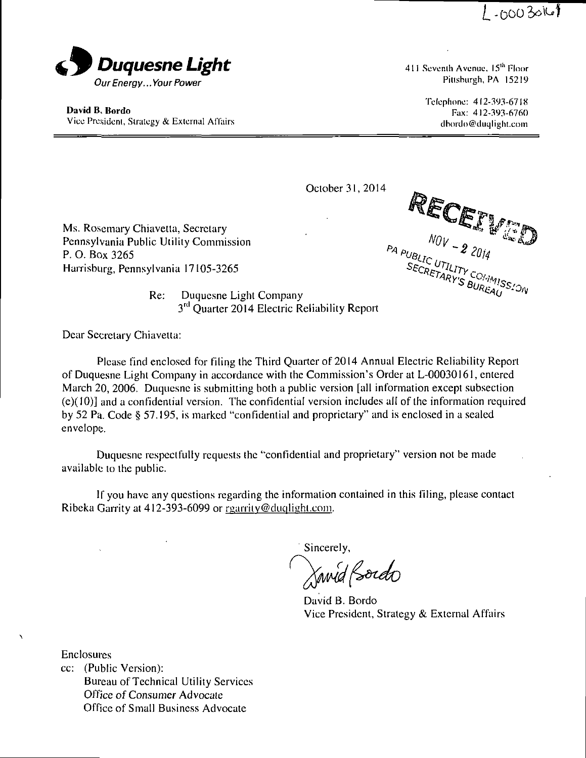$2 - 0003010$ 



David B, Bordo Vice President, Strategy & External Affairs 411 Seventh Avenue,  $15<sup>th</sup>$  Floor Pittsburgh, PA 15219

> Telephone: 412-393-6718 Fax: 412-393-6760 dbordo@duqlight.com

October 31, 2014

Ms. Rosemary Chiavetta, Secretary Pennsylvania Public Utility Commission P. O. Box 3265 Harrisburg, Pennsylvania 17105-3265

**RECEMMENTS**  $\frac{1}{2014}$ 

Re: Duquesne Light Company 3<sup>rd</sup> Quarter 2014 Electric Reliability Report

Dear Secretary Chiavetta:

Please find enclosed for filing the Third Quarter of 2014 Annual Electric Reliability Report of Duquesne Light Company in accordance with the Commission's Order at L-00030161, entered March 20, 2006. Duquesne is submitting both a public version [all information except subsection (e)(10)] and a confidential version. The confidential version includes ail of the information required by 52 Pa. Code § 57.195, is marked "confidential and proprietary" and is enclosed in a sealed envelope.

Duquesne respectfully requests the "confidential and proprietary" version not be made available lo the public.

If you have any questions regarding the information contained in this filing, please contact Ribeka Garrity at 412-393-6099 or rgarrity@duqlight.com.

Sincerely,

Javid Bordo

David B. Bordo Vice President, Strategy & External Affairs

Enclosures

cc: (Public Version): Bureau of Technical Utility Services Office of Consumer Advocate Office of Small Business Advocate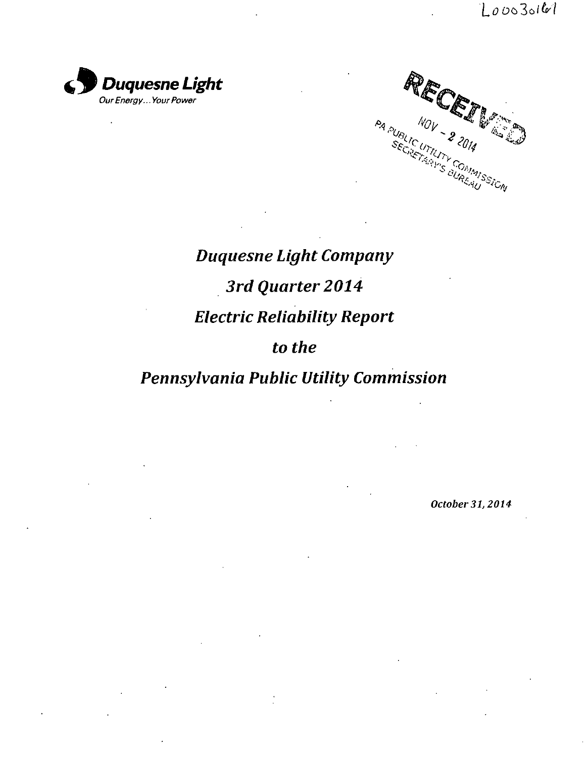



# *Duquesne Light Company 3rd Quarter 2014 Electric Reliability Report*

### *to the*

# *Pennsylvania Public Utility Commission*

*October 31,2014*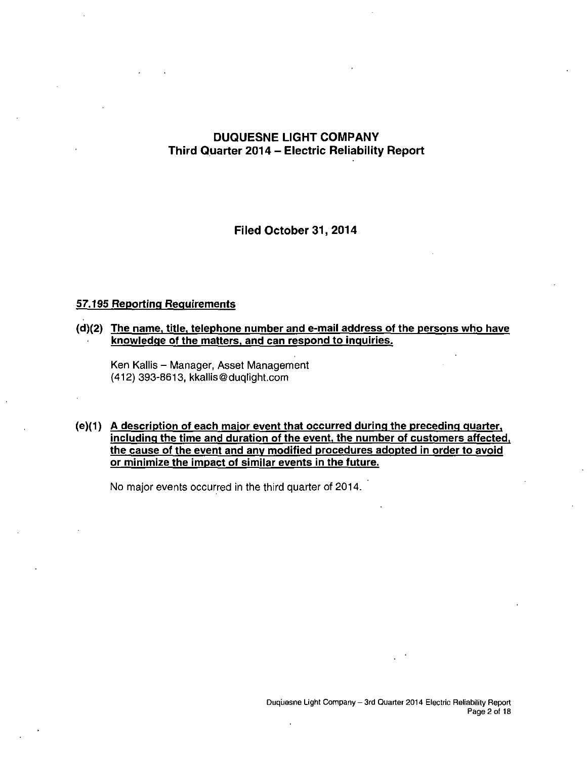#### **DUQUESNE LIGHT COMPANY Third Quarter 2014 - Electric Reliability Report**

**Filed October 31, 2014** 

#### **57.195 Reporting Requirements**

#### **(d)(2) The name, title, telephone number and e-mail address of the persons who have knowledge of the matters, and can respond to inquiries.**

Ken Kallis - Manager, Asset Management (412) 393-8613, kkallis@duqlight.com

#### **(e)( 1) A description of each major event that occurred during the preceding quarter, including the time and duration of the event, the number of customers affected, the cause of the event and anv modified procedures adopted in order to avoid or minimize the impact of similar events in the future.**

No major events occurred in the third quarter of 2014.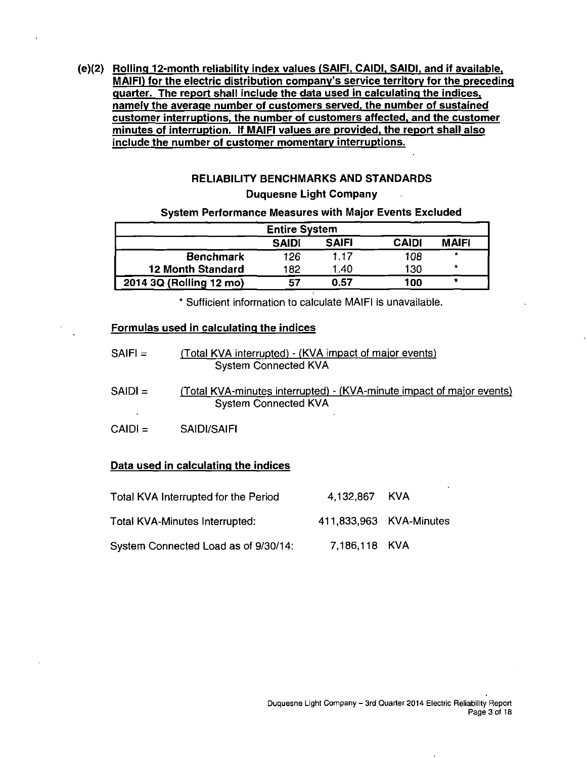**(e)(2) Rolling 12-month reliability index values (SAIFI CAIDI. SAIDI. and if available. MAIFI) for the electric distribution company's service territory for the preceding guarter. The report shall include the data used in calculating the indices, namely the average number of customers served, the number of sustained customer interruptions, the number of customers affected, and the customer minutes of interruption. If MAIFI values are provided, the report shall also include the number of customer momentary interruptions.** 

#### **RELIABILITY BENCHMARKS AND STANDARDS Duquesne Light Company**

#### **System Performance Measures with Major Events Excluded**

| <b>Entire System</b>                                         |     |      |     |                      |  |  |  |  |  |
|--------------------------------------------------------------|-----|------|-----|----------------------|--|--|--|--|--|
| <b>SAIFI</b><br><b>CAIDI</b><br><b>MAIFI</b><br><b>SAIDI</b> |     |      |     |                      |  |  |  |  |  |
| <b>Benchmark</b>                                             | 126 | 1.17 | 108 | $\ddot{\phantom{1}}$ |  |  |  |  |  |
| <b>12 Month Standard</b>                                     | 182 | 1.40 | 130 | *                    |  |  |  |  |  |
| 2014 3Q (Rolling 12 mo)                                      | 57  | 0.57 | 100 |                      |  |  |  |  |  |

**\* Sufficient information to calculate MAIFI is unavailable.** 

#### **Formulas used in calculating the indices**

| $SAIF =$ | (Total KVA interrupted) - (KVA impact of major events) |
|----------|--------------------------------------------------------|
|          | System Connected KVA                                   |

- SAIDI = (Total KVA-minutes interrupted) (KVA-minute impact of major events) System Connected KVA
- CAIDI = SAIDI/SAIFI

#### **Data used in calculating the indices**

| Total KVA Interrupted for the Period | 4,132,867 KVA |  |
|--------------------------------------|---------------|--|
|                                      |               |  |

- Total KVA-Minutes Interrupted: 411,833,963 KVA-Minutes
- System Connected Load as of 9/30/14: 7,186,118 KVA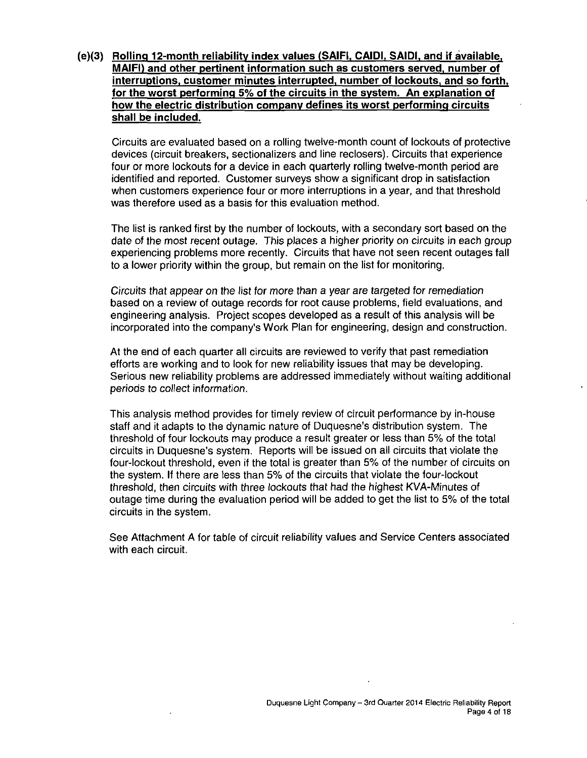**(e)(3) Rolling 12-month reliability index values (SAIFI. CAIDI, SAIDI. and if available. MAIFI) and other pertinent information such as customers served, number of interruptions, customer minutes interrupted, number of lockouts, and so forth, for the worst performing 5% of the circuits in the system. An explanation of how the electric distribution company defines its worst performing circuits shall be included.** 

Circuits are evaluated based on a rolling twetve-month count of lockouts of protective devices (circuit breakers, sectionalizers and line reclosers). Circuits that experience four or more lockouts for a device in each quarterly rolling twelve-month period are identified and reported. Customer surveys show a significant drop in satisfaction when customers experience four or more interruptions in a year, and that threshold was therefore used as a basis for this evaluation method.

The list is ranked first by the number of lockouts, with a secondary sort based on the date of the most recent outage. This places a higher priority on circuits in each group experiencing problems more recently. Circuits that have not seen recent outages fall to a lower priority within the group, but remain on the list for monitoring.

Circuits that appear on the list for more than a year are targeted for remediation based on a review of outage records for root cause problems, field evaluations, and engineering analysis. Project scopes developed as a result of this analysis will be incorporated into the company's Work Plan for engineering, design and construction.

At the end of each quarter all circuits are reviewed to verify that past remediation efforts are working and to look for new reliability issues that may be developing. Serious new reliability problems are addressed immediately without waiting additional periods to collect information.

This analysis method provides for timely review of circuit performance by in-house staff and it adapts to the dynamic nature of Duquesne's distribution system. The threshold of four lockouts may produce a result greater or less than 5% of the total circuits in Duquesne's system. Reports will be issued on all circuits that violate the four-lockout threshold, even if the total is greater than 5% of the number of circuits on the system. If there are less than 5% of the circuits that violate the four-lockout threshold, then circuits with three lockouts that had the highest KVA-Minutes of outage time during the evaluation period will be added to get the list to 5% of the total circuits in the system.

See Attachment A for table of circuit reliability values and Service Centers associated with each circuit.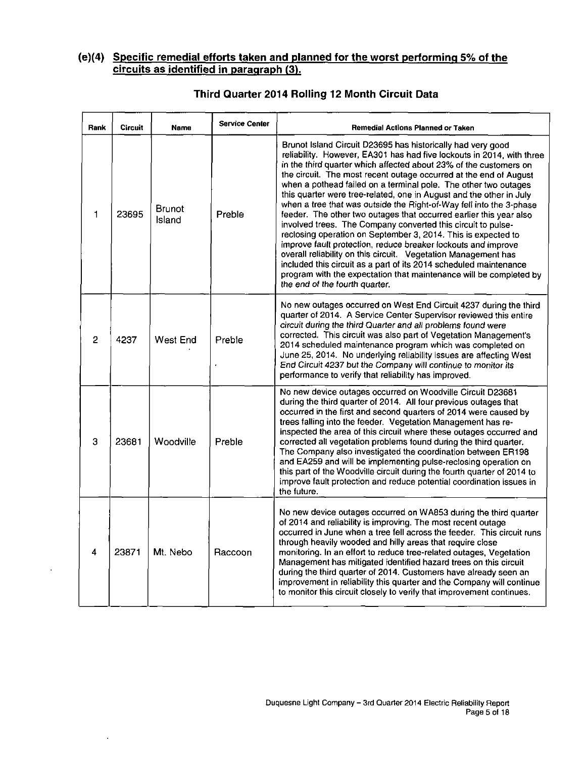#### **(e)(4) Specific remedial efforts taken and planned for the worst performing 5% of the circuits as identified in paragraph (3).**

| Rank | <b>Circuit</b> | <b>Name</b>             | <b>Service Center</b> | Remedial Actions Planned or Taken                                                                                                                                                                                                                                                                                                                                                                                                                                                                                                                                                                                                                                                                                                                                                                                                                                                                                                                                                                                      |
|------|----------------|-------------------------|-----------------------|------------------------------------------------------------------------------------------------------------------------------------------------------------------------------------------------------------------------------------------------------------------------------------------------------------------------------------------------------------------------------------------------------------------------------------------------------------------------------------------------------------------------------------------------------------------------------------------------------------------------------------------------------------------------------------------------------------------------------------------------------------------------------------------------------------------------------------------------------------------------------------------------------------------------------------------------------------------------------------------------------------------------|
| 1    | 23695          | <b>Brunot</b><br>Island | Preble                | Brunot Island Circuit D23695 has historically had very good<br>reliability. However, EA301 has had five lockouts in 2014, with three<br>in the third quarter which affected about 23% of the customers on<br>the circuit. The most recent outage occurred at the end of August<br>when a pothead failed on a terminal pole. The other two outages<br>this quarter were tree-related, one in August and the other in July<br>when a tree that was outside the Right-of-Way fell into the 3-phase<br>feeder. The other two outages that occurred earlier this year also<br>involved trees. The Company converted this circuit to pulse-<br>reclosing operation on September 3, 2014. This is expected to<br>improve fault protection, reduce breaker lockouts and improve<br>overall reliability on this circuit. Vegetation Management has<br>included this circuit as a part of its 2014 scheduled maintenance<br>program with the expectation that maintenance will be completed by<br>the end of the fourth quarter. |
| 2    | 4237           | West End                | Preble                | No new outages occurred on West End Circuit 4237 during the third<br>quarter of 2014. A Service Center Supervisor reviewed this entire<br>circuit during the third Quarter and all problems found were<br>corrected. This circuit was also part of Vegetation Management's<br>2014 scheduled maintenance program which was completed on<br>June 25, 2014. No underlying reliability issues are affecting West<br>End Circuit 4237 but the Company will continue to monitor its<br>performance to verify that reliability has improved.                                                                                                                                                                                                                                                                                                                                                                                                                                                                                 |
| 3    | 23681          | <b>Woodville</b>        | Preble                | No new device outages occurred on Woodville Circuit D23681<br>during the third quarter of 2014. All four previous outages that<br>occurred in the first and second quarters of 2014 were caused by<br>trees falling into the feeder. Vegetation Management has re-<br>inspected the area of this circuit where these outages occurred and<br>corrected all vegetation problems found during the third quarter.<br>The Company also investigated the coordination between ER198<br>and EA259 and will be implementing pulse-reclosing operation on<br>this part of the Woodville circuit during the fourth quarter of 2014 to<br>improve fault protection and reduce potential coordination issues in<br>the future.                                                                                                                                                                                                                                                                                                    |
| 4    | 23871          | Mt. Nebo                | Raccoon               | No new device outages occurred on WA853 during the third quarter<br>of 2014 and reliability is improving. The most recent outage<br>occurred in June when a tree fell across the feeder. This circuit runs<br>through heavily wooded and hilly areas that require close<br>monitoring. In an effort to reduce tree-related outages, Vegetation<br>Management has mitigated identified hazard trees on this circuit<br>during the third quarter of 2014. Customers have already seen an<br>improvement in reliability this quarter and the Company will continue<br>to monitor this circuit closely to verify that improvement continues.                                                                                                                                                                                                                                                                                                                                                                               |

 $\ddot{\phantom{a}}$ 

#### **Third Quarter 2014 Rolling 12 Month Circuit Data**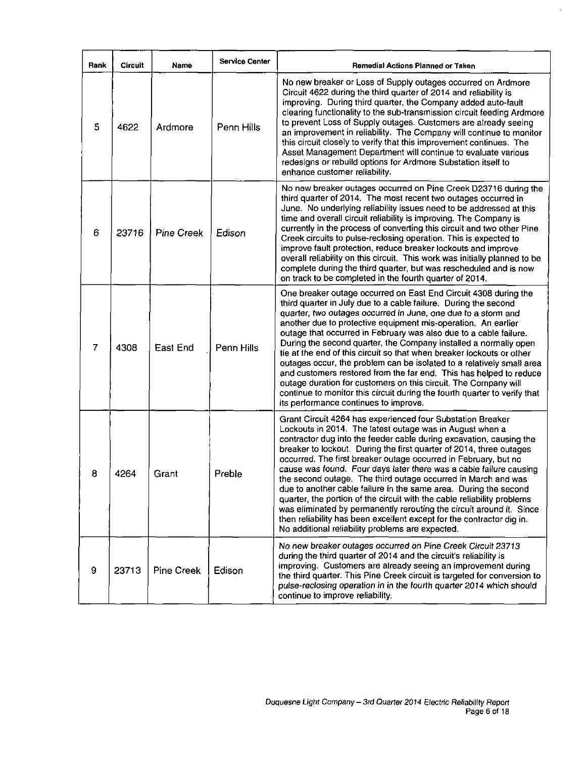| Rank | <b>Circuit</b> | Name              | <b>Service Center</b> | Remedial Actions Planned or Taken                                                                                                                                                                                                                                                                                                                                                                                                                                                                                                                                                                                                                                                                                                                                                                                                  |
|------|----------------|-------------------|-----------------------|------------------------------------------------------------------------------------------------------------------------------------------------------------------------------------------------------------------------------------------------------------------------------------------------------------------------------------------------------------------------------------------------------------------------------------------------------------------------------------------------------------------------------------------------------------------------------------------------------------------------------------------------------------------------------------------------------------------------------------------------------------------------------------------------------------------------------------|
| 5    | 4622           | Ardmore           | Penn Hills            | No new breaker or Loss of Supply outages occurred on Ardmore<br>Circuit 4622 during the third quarter of 2014 and reliability is<br>improving. During third quarter, the Company added auto-fault<br>clearing functionality to the sub-transmission circuit feeding Ardmore<br>to prevent Loss of Supply outages. Customers are already seeing<br>an improvement in reliability. The Company will continue to monitor<br>this circuit closely to verify that this improvement continues. The<br>Asset Management Department will continue to evaluate various<br>redesigns or rebuild options for Ardmore Substation itself to<br>enhance customer reliability.                                                                                                                                                                    |
| 6    | 23716          | <b>Pine Creek</b> | Edison                | No new breaker outages occurred on Pine Creek D23716 during the<br>third quarter of 2014. The most recent two outages occurred in<br>June. No underlying reliability issues need to be addressed at this<br>time and overall circuit reliability is improving. The Company is<br>currently in the process of converting this circuit and two other Pine<br>Creek circuits to pulse-reclosing operation. This is expected to<br>improve fault protection, reduce breaker lockouts and improve<br>overall reliability on this circuit. This work was initially planned to be<br>complete during the third quarter, but was rescheduled and is now<br>on track to be completed in the fourth quarter of 2014.                                                                                                                         |
| 7    | 4308           | East End          | Penn Hills            | One breaker outage occurred on East End Circuit 4308 during the<br>third quarter in July due to a cable failure. During the second<br>quarter, two outages occurred in June, one due to a storm and<br>another due to protective equipment mis-operation. An earlier<br>outage that occurred in February was also due to a cable failure.<br>During the second quarter, the Company installed a normally open<br>tie at the end of this circuit so that when breaker lockouts or other<br>outages occur, the problem can be isolated to a relatively small area<br>and customers restored from the far end. This has helped to reduce<br>outage duration for customers on this circuit. The Company will<br>continue to monitor this circuit during the fourth quarter to verify that<br>its performance continues to improve.     |
| 8    | 4264           | Grant             | Preble                | Grant Circuit 4264 has experienced four Substation Breaker<br>Lockouts in 2014. The latest outage was in August when a<br>contractor dug into the feeder cable during excavation, causing the<br>breaker to lockout. During the first quarter of 2014, three outages<br>occurred. The first breaker outage occurred in February, but no<br>cause was found. Four days later there was a cable failure causing<br>the second outage. The third outage occurred in March and was<br>due to another cable failure in the same area. During the second<br>quarter, the portion of the circuit with the cable reliability problems<br>was eliminated by permanently rerouting the circuit around it. Since<br>then reliability has been excellent except for the contractor dig in.<br>No additional reliability problems are expected. |
| 9    | 23713          | <b>Pine Creek</b> | Edison                | No new breaker outages occurred on Pine Creek Circuit 23713<br>during the third quarter of 2014 and the circuit's reliability is<br>improving. Customers are already seeing an improvement during<br>the third quarter. This Pine Creek circuit is targeted for conversion to<br>pulse-reclosing operation in in the fourth quarter 2014 which should<br>continue to improve reliability.                                                                                                                                                                                                                                                                                                                                                                                                                                          |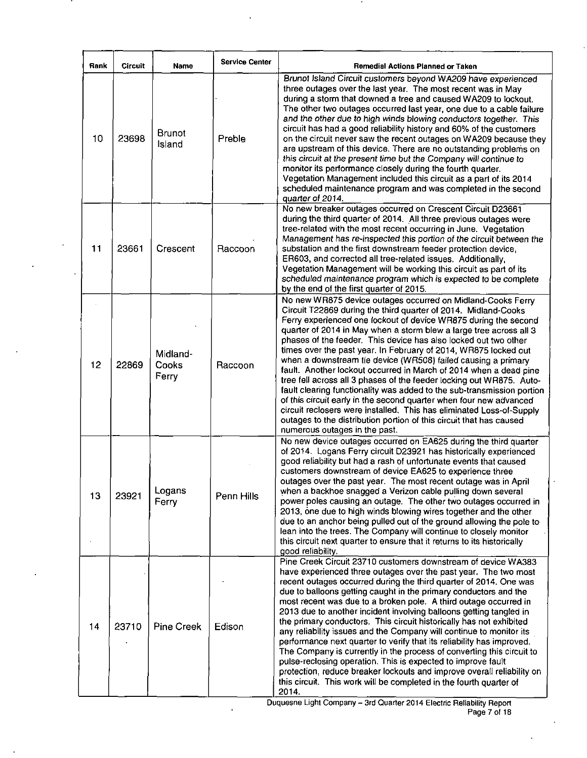| Rank | <b>Circuit</b> | Name                       | <b>Service Center</b> | <b>Remedial Actions Planned or Taken</b>                                                                                                                                                                                                                                                                                                                                                                                                                                                                                                                                                                                                                                                                                                                                                                                                                                                                                                                   |
|------|----------------|----------------------------|-----------------------|------------------------------------------------------------------------------------------------------------------------------------------------------------------------------------------------------------------------------------------------------------------------------------------------------------------------------------------------------------------------------------------------------------------------------------------------------------------------------------------------------------------------------------------------------------------------------------------------------------------------------------------------------------------------------------------------------------------------------------------------------------------------------------------------------------------------------------------------------------------------------------------------------------------------------------------------------------|
| 10   | 23698          | <b>Brunot</b><br>Island    | Preble                | Brunot Island Circuit customers beyond WA209 have experienced<br>three outages over the last year. The most recent was in May<br>during a storm that downed a tree and caused WA209 to lockout.<br>The other two outages occurred last year, one due to a cable failure<br>and the other due to high winds blowing conductors together. This<br>circuit has had a good reliability history and 60% of the customers<br>on the circuit never saw the recent outages on WA209 because they<br>are upstream of this device. There are no outstanding problems on<br>this circuit at the present time but the Company will continue to<br>monitor its performance closely during the fourth quarter.<br>Vegetation Management included this circuit as a part of its 2014<br>scheduled maintenance program and was completed in the second<br>quarter of 2014.                                                                                                 |
| 11   | 23661          | Crescent                   | Raccoon               | No new breaker outages occurred on Crescent Circuit D23661<br>during the third quarter of 2014. All three previous outages were<br>tree-related with the most recent occurring in June. Vegetation<br>Management has re-inspected this portion of the circuit between the<br>substation and the first downstream feeder protection device,<br>ER603, and corrected all tree-related issues. Additionally,<br>Vegetation Management will be working this circuit as part of its<br>scheduled maintenance program which is expected to be complete<br>by the end of the first quarter of 2015.                                                                                                                                                                                                                                                                                                                                                               |
| 12   | 22869          | Midland-<br>Cooks<br>Ferry | Raccoon               | No new WR875 device outages occurred on Midland-Cooks Ferry<br>Circuit T22869 during the third quarter of 2014. Midland-Cooks<br>Ferry experienced one lockout of device WR875 during the second<br>quarter of 2014 in May when a storm blew a large tree across all 3<br>phases of the feeder. This device has also locked out two other<br>times over the past year. In February of 2014, WR875 locked out<br>when a downstream tie device (WR508) failed causing a primary<br>fault. Another lockout occurred in March of 2014 when a dead pine<br>tree fell across all 3 phases of the feeder locking out WR875. Auto-<br>fault clearing functionality was added to the sub-transmission portion<br>of this circuit early in the second quarter when four new advanced<br>circuit reclosers were installed. This has eliminated Loss-of-Supply<br>outages to the distribution portion of this circuit that has caused<br>numerous outages in the past. |
| 13   | 23921          | Logans<br>Ferry            | Penn Hills            | No new device outages occurred on EA625 during the third quarter<br>of 2014. Logans Ferry circuit D23921 has historically experienced<br>good reliability but had a rash of unfortunate events that caused<br>customers downstream of device EA625 to experience three<br>outages over the past year. The most recent outage was in April<br>when a backhoe snagged a Verizon cable pulling down several<br>power poles causing an outage. The other two outages occurred in<br>2013, one due to high winds blowing wires together and the other<br>due to an anchor being pulled out of the ground allowing the pole to<br>lean into the trees. The Company will continue to closely monitor<br>this circuit next quarter to ensure that it returns to its historically<br>good reliability.                                                                                                                                                              |
| 14   | 23710          | <b>Pine Creek</b>          | Edison                | Pine Creek Circuit 23710 customers downstream of device WA383<br>have experienced three outages over the past year. The two most<br>recent outages occurred during the third quarter of 2014. One was<br>due to balloons getting caught in the primary conductors and the<br>most recent was due to a broken pole. A third outage occurred in<br>2013 due to another incident involving balloons getting tangled in<br>the primary conductors. This circuit historically has not exhibited<br>any reliability issues and the Company will continue to monitor its<br>performance next quarter to verify that its reliability has improved.<br>The Company is currently in the process of converting this circuit to<br>pulse-reclosing operation. This is expected to improve fault<br>protection, reduce breaker lockouts and improve overall reliability on<br>this circuit. This work will be completed in the fourth quarter of<br>2014.               |

 $\ddot{\phantom{a}}$ 

Duquesne Light Company - 3rd Quarter 2014 Electric Reliability Report Page 7 of 18 l.

l.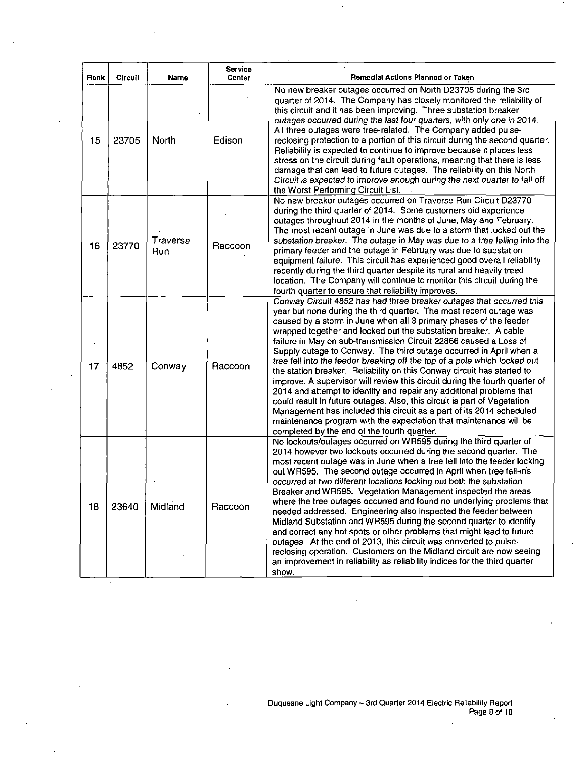| Rank | <b>Circuit</b> | Name                   | Service<br>Center | Remedial Actions Planned or Taken                                                                                                                                                                                                                                                                                                                                                                                                                                                                                                                                                                                                                                                                                                                                                                                                                                                                                                                                                                                   |
|------|----------------|------------------------|-------------------|---------------------------------------------------------------------------------------------------------------------------------------------------------------------------------------------------------------------------------------------------------------------------------------------------------------------------------------------------------------------------------------------------------------------------------------------------------------------------------------------------------------------------------------------------------------------------------------------------------------------------------------------------------------------------------------------------------------------------------------------------------------------------------------------------------------------------------------------------------------------------------------------------------------------------------------------------------------------------------------------------------------------|
| 15   | 23705          | North                  | Edison            | No new breaker outages occurred on North D23705 during the 3rd<br>quarter of 2014. The Company has closely monitored the reliability of<br>this circuit and it has been improving. Three substation breaker<br>outages occurred during the last four quarters, with only one in 2014.<br>All three outages were tree-related. The Company added pulse-<br>reclosing protection to a portion of this circuit during the second quarter.<br>Reliability is expected to continue to improve because it places less<br>stress on the circuit during fault operations, meaning that there is less<br>damage that can lead to future outages. The reliability on this North<br>Circuit is expected to improve enough during the next quarter to fall off<br>the Worst Performing Circuit List.                                                                                                                                                                                                                            |
| 16   | 23770          | Traverse<br><b>Run</b> | Raccoon           | No new breaker outages occurred on Traverse Run Circuit D23770<br>during the third quarter of 2014. Some customers did experience<br>outages throughout 2014 in the months of June, May and February.<br>The most recent outage in June was due to a storm that locked out the<br>substation breaker. The outage in May was due to a tree falling into the<br>primary feeder and the outage in February was due to substation<br>equipment failure. This circuit has experienced good overall reliability<br>recently during the third quarter despite its rural and heavily treed<br>location. The Company will continue to monitor this circuit during the<br>fourth quarter to ensure that reliability improves.                                                                                                                                                                                                                                                                                                 |
| 17   | 4852           | Conway                 | Raccoon           | Conway Circuit 4852 has had three breaker outages that occurred this<br>year but none during the third quarter. The most recent outage was<br>caused by a storm in June when all 3 primary phases of the feeder<br>wrapped together and locked out the substation breaker. A cable<br>failure in May on sub-transmission Circuit 22866 caused a Loss of<br>Supply outage to Conway. The third outage occurred in April when a<br>tree fell into the feeder breaking off the top of a pole which locked out<br>the station breaker. Reliability on this Conway circuit has started to<br>improve. A supervisor will review this circuit during the fourth quarter of<br>2014 and attempt to identify and repair any additional problems that<br>could result in future outages. Also, this circuit is part of Vegetation<br>Management has included this circuit as a part of its 2014 scheduled<br>maintenance program with the expectation that maintenance will be<br>completed by the end of the fourth quarter. |
| 18   | 23640          | Midland                | Raccoon           | No lockouts/outages occurred on WR595 during the third quarter of<br>2014 however two lockouts occurred during the second quarter. The<br>most recent outage was in June when a tree fell into the feeder locking<br>out WR595. The second outage occurred in April when tree fall-ins<br>occurred at two different locations locking out both the substation<br>Breaker and WR595. Vegetation Management inspected the areas<br>where the tree outages occurred and found no underlying problems that<br>needed addressed. Engineering also inspected the feeder between<br>Midland Substation and WR595 during the second quarter to identify<br>and correct any hot spots or other problems that might lead to future<br>outages. At the end of 2013, this circuit was converted to pulse-<br>reclosing operation. Customers on the Midland circuit are now seeing<br>an improvement in reliability as reliability indices for the third quarter<br>show.                                                        |

 $\ddot{\phantom{a}}$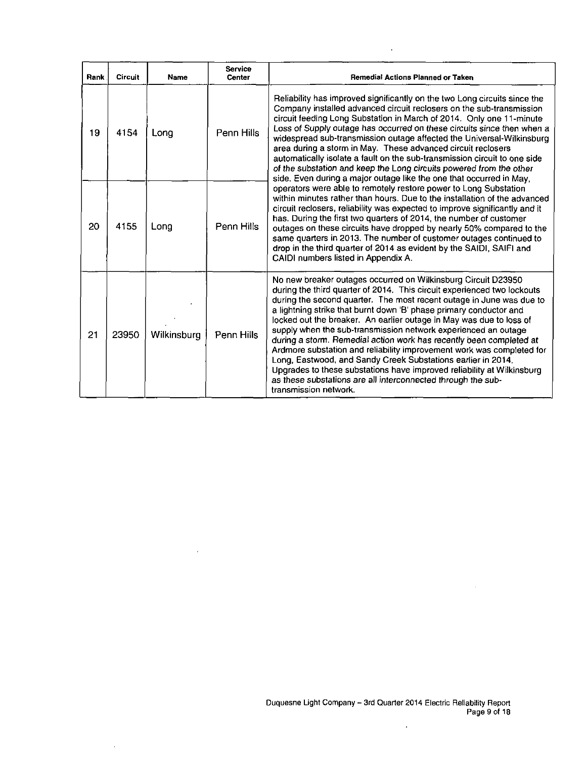| Rank | Circuit | <b>Name</b> | Service<br><b>Center</b> | <b>Remedial Actions Planned or Taken</b>                                                                                                                                                                                                                                                                                                                                                                                                                                                                                                                                                                                                                                                                                                                                                                           |
|------|---------|-------------|--------------------------|--------------------------------------------------------------------------------------------------------------------------------------------------------------------------------------------------------------------------------------------------------------------------------------------------------------------------------------------------------------------------------------------------------------------------------------------------------------------------------------------------------------------------------------------------------------------------------------------------------------------------------------------------------------------------------------------------------------------------------------------------------------------------------------------------------------------|
| 19   | 4154    | Long        | <b>Penn Hills</b>        | Reliability has improved significantly on the two Long circuits since the<br>Company installed advanced circuit reclosers on the sub-transmission<br>circuit feeding Long Substation in March of 2014. Only one 11-minute<br>Loss of Supply outage has occurred on these circuits since then when a<br>widespread sub-transmission outage affected the Universal-Wilkinsburg<br>area during a storm in May. These advanced circuit reclosers<br>automatically isolate a fault on the sub-transmission circuit to one side<br>of the substation and keep the Long circuits powered from the other<br>side. Even during a major outage like the one that occurred in May,                                                                                                                                            |
| 20   | 4155    | Long        | Penn Hills               | operators were able to remotely restore power to Long Substation<br>within minutes rather than hours. Due to the installation of the advanced<br>circuit reclosers, reliability was expected to improve significantly and it<br>has. During the first two quarters of 2014, the number of customer<br>outages on these circuits have dropped by nearly 50% compared to the<br>same quarters in 2013. The number of customer outages continued to<br>drop in the third quarter of 2014 as evident by the SAIDI, SAIFI and<br>CAIDI numbers listed in Appendix A.                                                                                                                                                                                                                                                    |
| 21   | 23950   | Wilkinsburg | Penn Hills               | No new breaker outages occurred on Wilkinsburg Circuit D23950<br>during the third quarter of 2014. This circuit experienced two lockouts<br>during the second quarter. The most recent outage in June was due to<br>a lightning strike that burnt down 'B' phase primary conductor and<br>locked out the breaker. An earlier outage in May was due to loss of<br>supply when the sub-transmission network experienced an outage<br>during a storm. Remedial action work has recently been completed at<br>Ardmore substation and reliability improvement work was completed for<br>Long, Eastwood, and Sandy Creek Substations earlier in 2014.<br>Upgrades to these substations have improved reliability at Wilkinsburg<br>as these substations are all interconnected through the sub-<br>transmission network. |

 $\bar{a}$ 

 $\cdot$ 

 $\overline{a}$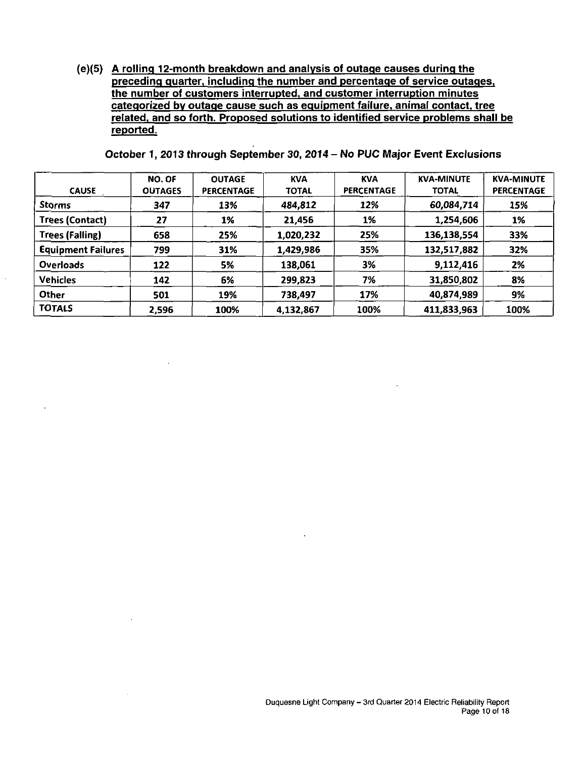**(e)(5) A rolling 12-month breakdown and analysis of outage causes during the preceding quarter, including the number and percentage of service outages, the number of customers interrupted, and customer interruption minutes categorized bv outage cause such as eguipment failure, animal contact, tree related, and so forth. Proposed solutions to identified service problems shall be reported.** 

| <b>CAUSE</b>              | <b>NO. OF</b><br><b>OUTAGES</b> | <b>OUTAGE</b><br><b>PERCENTAGE</b> | <b>KVA</b><br><b>TOTAL</b> | <b>KVA</b><br><b>PERCENTAGE</b> | <b>KVA-MINUTE</b><br><b>TOTAL</b> | <b>KVA-MINUTE</b><br><b>PERCENTAGE</b> |
|---------------------------|---------------------------------|------------------------------------|----------------------------|---------------------------------|-----------------------------------|----------------------------------------|
| <b>Storms</b>             | 347                             | 13%                                | 484,812                    | 12%                             | 60,084,714                        | 15%                                    |
| <b>Trees (Contact)</b>    | 27                              | $1\%$                              | 21,456                     | 1%                              | 1,254,606                         | 1%                                     |
| <b>Trees (Falling)</b>    | 658                             | 25%                                | 1,020,232                  | 25%                             | 136,138,554                       | 33%                                    |
| <b>Equipment Failures</b> | 799                             | 31%                                | 1,429,986                  | 35%                             | 132,517,882                       | 32%                                    |
| <b>Overloads</b>          | 122                             | 5%                                 | 138,061                    | 3%                              | 9,112,416                         | 2%                                     |
| <b>Vehicles</b>           | 142                             | 6%                                 | 299,823                    | 7%                              | 31,850,802                        | 8%                                     |
| Other                     | 501                             | 19%                                | 738,497                    | 17%                             | 40,874,989                        | 9%                                     |
| <b>TOTALS</b>             | 2,596                           | 100%                               | 4,132,867                  | 100%                            | 411,833,963                       | 100%                                   |

**October 1, 2013 through September 30, 2014 - No PUC Major Event Exclusions**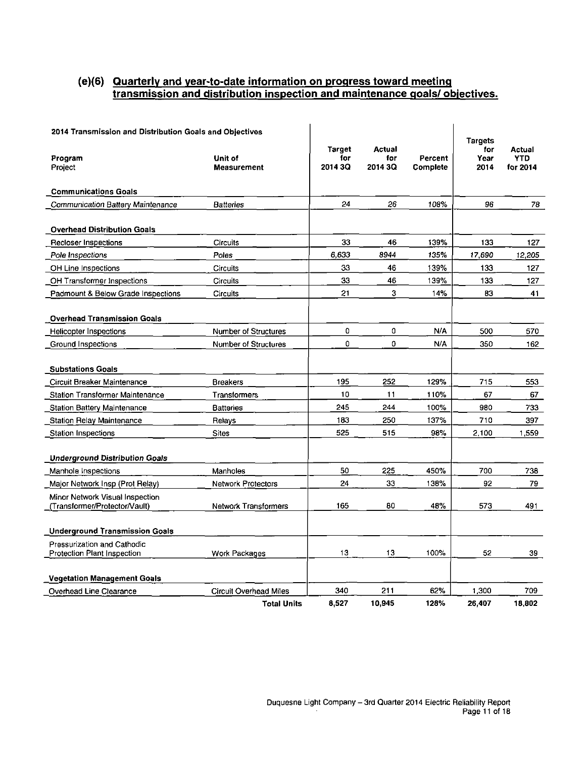#### **(e)(6) Quarterly and vear-to-date information on progress toward meeting transmission and distribution inspection and maintenance goals/ objectives.**

| 2014 Transmission and Distribution Goals and Objectives<br>Program<br>Project | <b>Unit of</b><br><b>Measurement</b> | Target<br>for<br>2014 3Q | Actual<br>for<br>2014 3Q | Percent<br>Complete | <b>Targets</b><br>for<br>Year<br>2014 | Actual<br><b>YTD</b><br>for 2014 |
|-------------------------------------------------------------------------------|--------------------------------------|--------------------------|--------------------------|---------------------|---------------------------------------|----------------------------------|
| <b>Communications Goals</b>                                                   |                                      |                          |                          |                     |                                       |                                  |
| Communication Battery Maintenance                                             | <b>Batteries</b>                     | 24                       | 26                       | 108%                | 96                                    | 78                               |
| <b>Overhead Distribution Goals</b>                                            |                                      |                          |                          |                     |                                       |                                  |
| Recloser Inspections                                                          | <b>Circuits</b>                      | 33                       | 46                       | 139%                | 133                                   | 127                              |
| Pole Inspections                                                              | Poles                                | 6,633                    | 8944                     | 135%                | 17,690                                | 12,205                           |
| OH Line Inspections                                                           | <b>Circuits</b>                      | 33                       | 46                       | 139%                | 133                                   | 127                              |
| OH Transformer Inspections                                                    | Circuits                             | 33                       | 46                       | 139%                | 133                                   | 127                              |
| Padmount & Below Grade Inspections                                            | <b>Circuits</b>                      | 21                       | 3                        | 14%                 | 83                                    | 41                               |
| <b>Overhead Transmission Goals</b>                                            |                                      |                          |                          |                     |                                       |                                  |
| <b>Helicopter Inspections</b>                                                 | <b>Number of Structures</b>          | 0                        | 0                        | N/A                 | 500                                   | 570                              |
| Ground Inspections                                                            | <b>Number of Structures</b>          | 0                        | 0                        | N/A                 | 350                                   | 162                              |
| <b>Substations Goals</b>                                                      |                                      |                          |                          |                     |                                       |                                  |
| Circuit Breaker Maintenance                                                   | <b>Breakers</b>                      | 195                      | 252                      | 129%                | 715                                   | 553                              |
| <b>Station Transformer Maintenance</b>                                        | <b>Transformers</b>                  | 10                       | 11                       | 110%                | 67                                    | 67                               |
| <b>Station Battery Maintenance</b>                                            | <b>Batteries</b>                     | 245                      | 244                      | 100%                | 980                                   | 733                              |
| <b>Station Relay Maintenance</b>                                              | Relays                               | 183                      | 250                      | 137%                | 710                                   | 397                              |
| <b>Station Inspections</b>                                                    | <b>Sites</b>                         | 525                      | 515                      | 98%                 | 2,100                                 | 1.559                            |
| <b>Underground Distribution Goals</b>                                         |                                      |                          |                          |                     |                                       |                                  |
| Manhole Inspections                                                           | Manholes                             | 50                       | 225                      | 450%                | 700                                   | 738                              |
| Major Network Insp (Prot Relay)                                               | <b>Network Protectors</b>            | 24                       | 33                       | 138%                | 92                                    | 79                               |
| Minor Network Visual Inspection<br>(Transformer/Protector/Vault)              | <b>Network Transformers</b>          | 165                      | 80                       | 48%                 | 573                                   | 491                              |
| <b>Underground Transmission Goals</b>                                         |                                      |                          |                          |                     |                                       |                                  |
| Pressurization and Cathodic<br>Protection Plant Inspection                    | Work Packages                        | 13                       | 13                       | 100%                | 52                                    | 39                               |
|                                                                               |                                      |                          |                          |                     |                                       |                                  |
| Vegetation Management Goals<br>Overhead Line Clearance                        | <b>Circuit Overhead Miles</b>        | 340                      | 211                      | 62%                 | 1,300                                 | 709                              |
|                                                                               | <b>Total Units</b>                   | 8.527                    | 10.945                   | 128%                | 26,407                                | 18.802                           |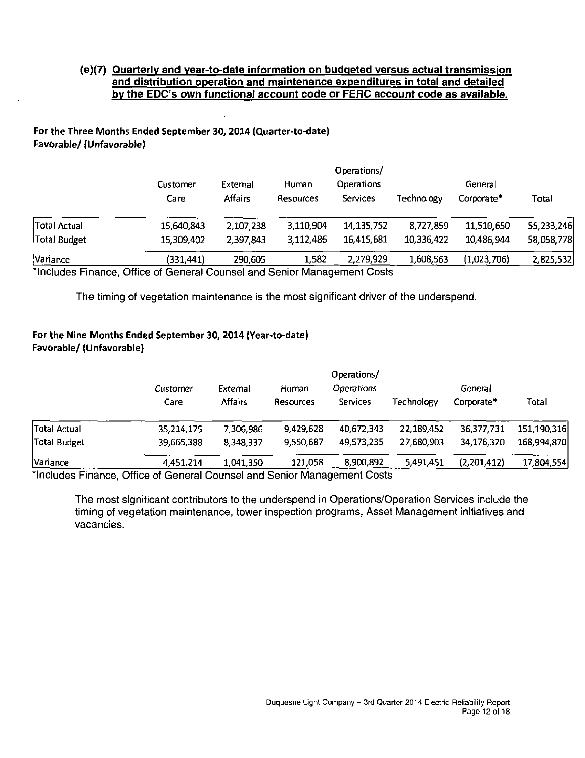#### **(e)(7) Quarterly and vear-to-date information on budgeted versus actual transmission and distribution operation and maintenance expenditures in total and detailed bv the EDC's own functional account code or FERC account code as available.**

#### For the Three Months Ended September 30, 2014 (Quarter-to-date) Favorable/ (Unfavorable)

| Operations/      |                            |                    |                               |            |                       |            |  |  |  |  |
|------------------|----------------------------|--------------------|-------------------------------|------------|-----------------------|------------|--|--|--|--|
| Customer<br>Care | External<br><b>Affairs</b> | Human<br>Resources | <b>Operations</b><br>Services | Technology | General<br>Corporate* | Total      |  |  |  |  |
| 15,640,843       | 2,107,238                  | 3,110,904          | 14,135,752                    | 8,727,859  | 11,510,650            | 55,233,246 |  |  |  |  |
| 15,309,402       | 2,397,843                  | 3,112,486          | 16,415,681                    | 10,336,422 | 10,486,944            | 58,058,778 |  |  |  |  |
| (331, 441)       | 290.605                    | 1,582              | 2,279,929                     | 1,608,563  | (1,023,706)           | 2,825,532  |  |  |  |  |
|                  |                            |                    |                               |            |                       |            |  |  |  |  |

'Includes Finance, Office of General Counsel and Senior Management Costs

The timing of vegetation maintenance is the most significant driver of the underspend.

#### For the Nine Months Ended September 30,2014 (Year-to-date) Favorable/ (Unfavorable)

|                     | Customer   | External       | Human     | Operations/<br>Operations |            | General     |             |
|---------------------|------------|----------------|-----------|---------------------------|------------|-------------|-------------|
|                     | Care       | <b>Affairs</b> | Resources | <b>Services</b>           | Technology | Corporate*  | Total       |
| Total Actual        | 35,214,175 | 7,306,986      | 9.429.628 | 40,672,343                | 22,189,452 | 36,377,731  | 151,190,316 |
| <b>Total Budget</b> | 39,665,388 | 8,348,337      | 9.550.687 | 49,573,235                | 27,680,903 | 34,176,320  | 168,994,870 |
| Variance            | 4,451,214  | 1,041,350      | 121,058   | 8,900,892                 | 5,491,451  | (2,201,412) | 17,804,554  |

Includes Finance, Office of General Counsel and Senior Management Costs

The most significant contributors to the underspend in Operations/Operation Services include the timing of vegetation maintenance, tower inspection programs, Asset Management initiatives and vacancies.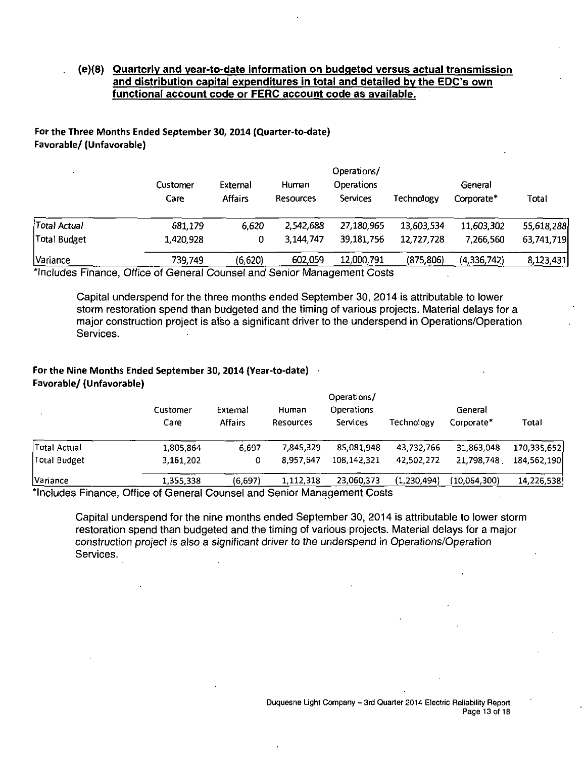#### **(e)(8) Quarterly and vear-to-date information on budgeted versus actual transmission**  and distribution capital expenditures in total and detailed by the EDC's own **functional account code or FERC account code as available.**

#### For the Three Months Ended September 30, 2014 (Quarter-to-date) Favorable/ (Unfavorable)

|              | Customer  | External | Human            | Operations/<br><b>Operations</b> |            | General     |            |
|--------------|-----------|----------|------------------|----------------------------------|------------|-------------|------------|
|              | Care      | Affairs  | <b>Resources</b> | <b>Services</b>                  | Technology | Corporate*  | Total      |
| Total Actual | 681,179   | 6,620    | 2,542,688        | 27,180,965                       | 13,603,534 | 11,603,302  | 55,618,288 |
| Total Budget | 1,420,928 | 0        | 3,144,747        | 39,181,756                       | 12,727,728 | 7,266,560   | 63,741,719 |
| Variance     | 739,749   | (6,620)  | 602,059          | 12,000,791                       | (875, 806) | (4,336,742) | 8,123,431  |

'Includes Finance, Office of General Counsel and Senior Management Costs

Capital underspend for the three months ended September 30, 2014 is attributable to lower storm restoration spend than budgeted and the timing of various projects. Material delays for a major construction project is also a significant driver to the underspend in Operations/Operation Services.

#### For the Nine Months Ended September 30,2014 (Year-to-date) Favorable/ (Unfavorable)

|                     | Operations/      |                            |                    |                               |                   |                       |             |  |  |  |
|---------------------|------------------|----------------------------|--------------------|-------------------------------|-------------------|-----------------------|-------------|--|--|--|
|                     | Customer<br>Care | External<br><b>Affairs</b> | Human<br>Resources | Operations<br><b>Services</b> | <b>Technology</b> | General<br>Corporate* | Total       |  |  |  |
| <b>Total Actual</b> | 1,805,864        | 6.697                      | 7.845.329          | 85,081,948                    | 43,732,766        | 31,863,048            | 170,335,652 |  |  |  |
| <b>Total Budget</b> | 3,161,202        | 0                          | 8.957.647          | 108.142.321                   | 42,502,272        | 21,798,748            | 184.562.190 |  |  |  |
| Variance            | 1,355,338        | (6.697)                    | 1.112.318          | 23,060,373                    | (1, 230, 494)     | (10.064.300)          | 14,226,538  |  |  |  |

Includes Finance, Office of General Counsel and Senior Management Costs

Capital underspend for the nine months ended September 30, 2014 is attributable to lower storm restoration spend than budgeted and the timing of various projects. Material delays for a major construction project is also a significant driver to the underspend in Operations/Operation Services.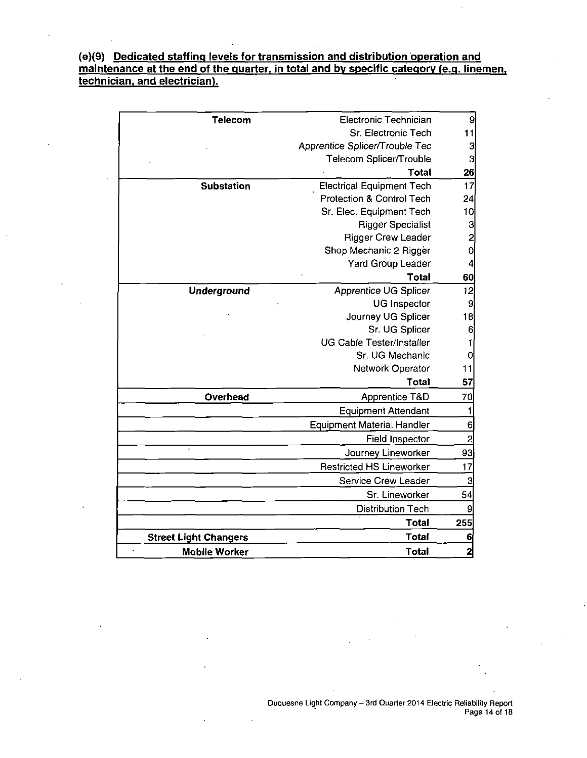#### **(e)(9) Dedicated staffing levels for transmission and distribution operation and maintenance at the end of the quarter, in total and by specific category (e.g. linemen, technician, and electrician).**

| <b>Telecom</b>               | Electronic Technician                | 9              |
|------------------------------|--------------------------------------|----------------|
|                              | Sr. Electronic Tech                  | 11             |
|                              | Apprentice Splicer/Trouble Tec       | 3              |
|                              | Telecom Splicer/Trouble              | 3              |
|                              | Total                                | 26             |
| <b>Substation</b>            | <b>Electrical Equipment Tech</b>     | 17             |
|                              | <b>Protection &amp; Control Tech</b> | 24             |
|                              | Sr. Elec. Equipment Tech             | 10             |
|                              | <b>Rigger Specialist</b>             | 3              |
|                              | <b>Rigger Crew Leader</b>            | 2              |
|                              | Shop Mechanic 2 Rigger               | 0              |
|                              | <b>Yard Group Leader</b>             | 4              |
|                              | <b>Total</b>                         | 60             |
| <b>Underground</b>           | <b>Apprentice UG Splicer</b>         | 12             |
|                              | <b>UG</b> Inspector                  | 9              |
|                              | Journey UG Splicer                   | 18             |
|                              | Sr. UG Splicer                       | 6              |
|                              | UG Cable Tester/Installer            |                |
|                              | Sr. UG Mechanic                      | 0              |
|                              | Network Operator                     | 11             |
|                              | Total                                | 57             |
| Overhead                     | Apprentice T&D                       | 70             |
|                              | <b>Equipment Attendant</b>           | 1              |
|                              | <b>Equipment Material Handler</b>    | 6              |
|                              | <b>Field Inspector</b>               | $\overline{c}$ |
|                              | Journey Lineworker                   | 93             |
|                              | <b>Restricted HS Lineworker</b>      | 17             |
|                              | Service Crew Leader                  | 3              |
|                              | Sr. Lineworker                       | 54             |
|                              | <b>Distribution Tech</b>             | 9              |
|                              | <b>Total</b>                         | 255            |
| <b>Street Light Changers</b> | Total                                | 6              |
| <b>Mobile Worker</b>         | <b>Total</b>                         | $\overline{a}$ |
|                              |                                      |                |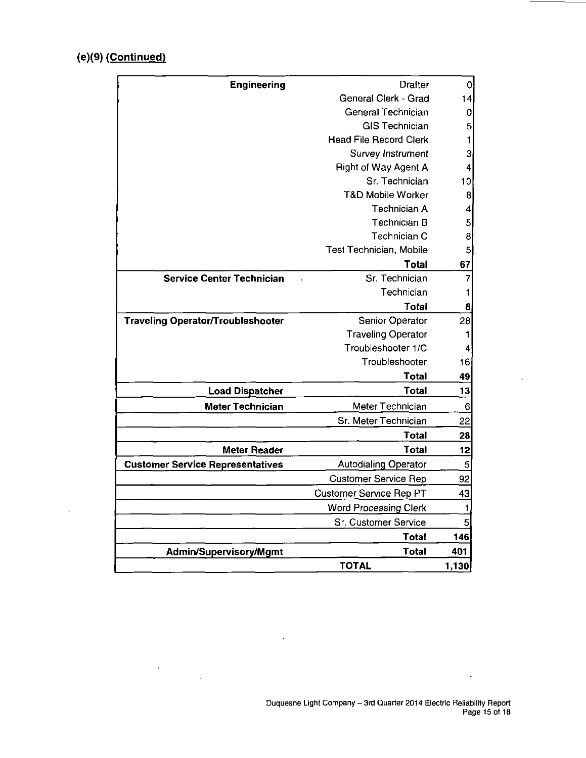## **(e)(9) (Continued)**

 $\hat{\mathbf{r}}$ 

| <b>Engineering</b>                      | <b>Drafter</b>                | 0            |
|-----------------------------------------|-------------------------------|--------------|
|                                         | <b>General Clerk - Grad</b>   | 14           |
|                                         | General Technician            | 0            |
|                                         | <b>GIS Technician</b>         | 5            |
|                                         | <b>Head File Record Clerk</b> | 1            |
|                                         | <b>Survey Instrument</b>      | 3            |
|                                         | <b>Right of Way Agent A</b>   | 4            |
|                                         | Sr. Technician                | 10           |
|                                         | T&D Mobile Worker             | 8            |
|                                         | <b>Technician A</b>           | 4            |
|                                         | <b>Technician B</b>           | 5            |
|                                         | Technician C                  | 8            |
|                                         | Test Technician, Mobile       | 5            |
|                                         | <b>Total</b>                  | 67           |
| <b>Service Center Technician</b>        | Sr. Technician                | 7            |
|                                         | Technician                    | 1            |
|                                         | Total                         | 8            |
| Traveling Operator/Troubleshooter       | Senior Operator               | 28           |
|                                         | <b>Traveling Operator</b>     | 1            |
|                                         | Troubleshooter 1/C            | 4            |
|                                         | Troubleshooter                | 16           |
|                                         | <b>Total</b>                  | 49           |
| <b>Load Dispatcher</b>                  | <b>Total</b>                  | 13           |
| <b>Meter Technician</b>                 | Meter Technician              | 6            |
|                                         | Sr. Meter Technician          | 22           |
|                                         | <b>Total</b>                  | 28           |
| <b>Meter Reader</b>                     | <b>Total</b>                  | 12           |
| <b>Customer Service Representatives</b> | <b>Autodialing Operator</b>   | 5            |
|                                         | <b>Customer Service Rep</b>   | 92           |
|                                         | Customer Service Rep PT       | 43           |
|                                         | <b>Word Processing Clerk</b>  | $\mathbf{1}$ |
|                                         | Sr. Customer Service          | 5            |
|                                         | Total                         | 146          |
| Admin/Supervisory/Mgmt                  | <b>Total</b>                  | 401          |
|                                         | <b>TOTAL</b>                  | 1,130        |

 $\mathcal{L}(\mathcal{A})$  and  $\mathcal{L}(\mathcal{A})$  .

 $\label{eq:2} \frac{1}{\sqrt{2}}\sum_{i=1}^n\frac{1}{\sqrt{2}}\sum_{i=1}^n\frac{1}{\sqrt{2}}\sum_{i=1}^n\frac{1}{\sqrt{2}}\sum_{i=1}^n\frac{1}{\sqrt{2}}\sum_{i=1}^n\frac{1}{\sqrt{2}}\sum_{i=1}^n\frac{1}{\sqrt{2}}\sum_{i=1}^n\frac{1}{\sqrt{2}}\sum_{i=1}^n\frac{1}{\sqrt{2}}\sum_{i=1}^n\frac{1}{\sqrt{2}}\sum_{i=1}^n\frac{1}{\sqrt{2}}\sum_{i=1}^n\frac{1$ 

 $\sim$   $\sim$ 

 $\hat{\mathcal{L}}$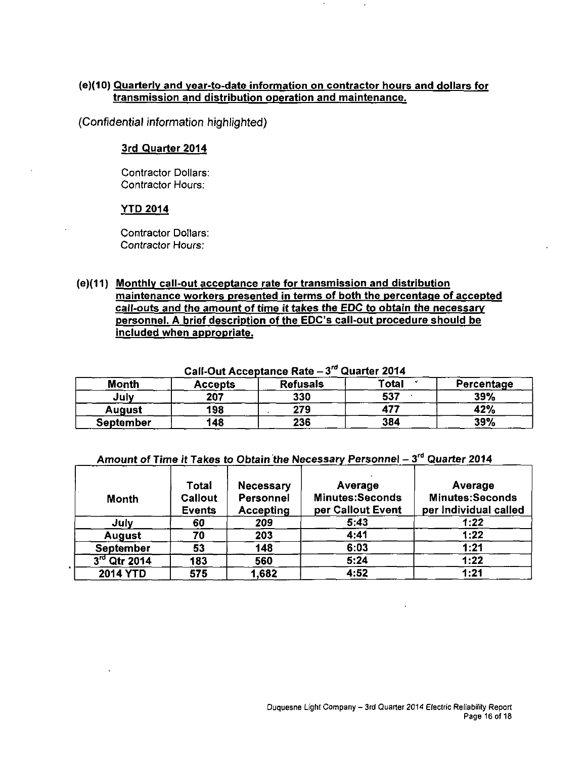#### **(e)(10) Quarterly and vear-to-date information on contractor hours and dollars for transmission and distribution operation and maintenance.**

**(Confidential information highlighted)** 

#### **3rd Quarter 2014**

**Contractor Dollars: Contractor Hours:** 

#### **YTD 2014**

**Contractor Dollars: Contractor Hours:** 

**(e)(11) Monthly call-out acceptance rate for transmission and distribution maintenance workers presented in terms of both the percentage of accepted call-outs and the amount of time it takes the EDC to obtain the necessary**  personnel. A brief description of the EDC's call-out procedure should be **included when appropriate.** 

|                  | Gan-Out Acceptance Kate − J<br><b>QUATTEL ZUT4</b> |                 |              |            |  |  |  |  |  |  |  |
|------------------|----------------------------------------------------|-----------------|--------------|------------|--|--|--|--|--|--|--|
| <b>Month</b>     | <b>Accepts</b>                                     | <b>Refusals</b> | <b>Total</b> | Percentage |  |  |  |  |  |  |  |
| July             | 207                                                | 330             | 537          | 39%        |  |  |  |  |  |  |  |
| <b>August</b>    | 198                                                | 279             | 477          | 42%        |  |  |  |  |  |  |  |
| <b>September</b> | 148                                                | 236             | 384          | 39%        |  |  |  |  |  |  |  |

**Call-Out Acceptance Rate -3 <sup>f</sup> <sup>d</sup> Quarter 2014** 

| Amount of Time it Takes to Obtain the Necessary Personnel $-3^{rd}$ Quarter 2014 |  |
|----------------------------------------------------------------------------------|--|
|----------------------------------------------------------------------------------|--|

| <b>Month</b>     | Total<br><b>Callout</b><br><b>Events</b> | Necessary<br>Personnel<br><b>Accepting</b> | Average<br>Minutes:Seconds<br>per Callout Event | Average<br><b>Minutes:Seconds</b><br>per Individual called |
|------------------|------------------------------------------|--------------------------------------------|-------------------------------------------------|------------------------------------------------------------|
| July             | 60                                       | 209                                        | 5:43                                            | 1:22                                                       |
| <b>August</b>    | 70                                       | 203                                        | 4:41                                            | 1:22                                                       |
| <b>September</b> | 53                                       | 148                                        | 6:03                                            | 1:21                                                       |
| 3rd Qtr 2014     | 183                                      | 560                                        | 5:24                                            | 1:22                                                       |
| <b>2014 YTD</b>  | 575                                      | 1,682                                      | 4:52                                            | 1:21                                                       |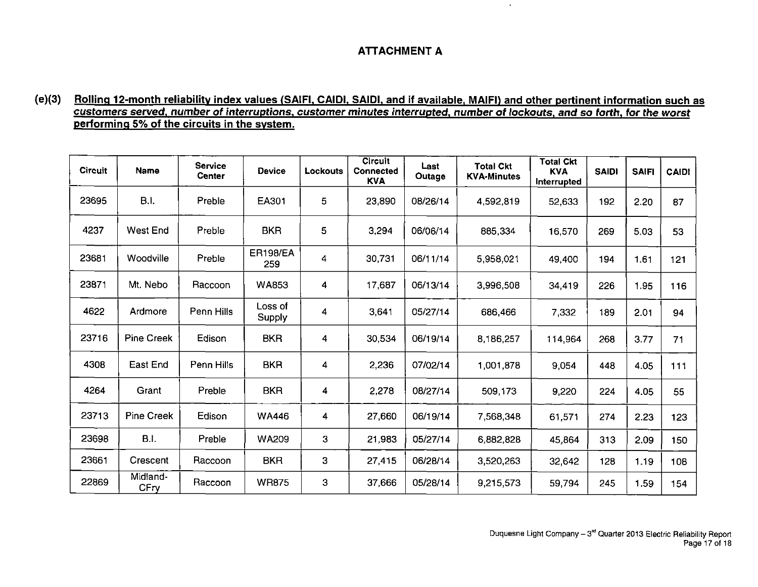#### **ATTACHMENT A**

 $\epsilon$ 

#### (e)(3) Rolling 12-month reliability index values (SAIFI, CAIDI, SAIDI, and if available, MAIFI) and other pertinent information such as **customers served, number of interruptions, customer minutes interrupted, number of fockouts. and so forth, for the worst performinq 5% of the circuits in the system.**

| <b>Circuit</b> | <b>Name</b>       | <b>Service</b><br><b>Center</b> | <b>Device</b>            | Lockouts | Circuit<br>Connected<br><b>KVA</b> | Last<br>Outage | <b>Total Ckt</b><br><b>KVA-Minutes</b> | <b>Total Ckt</b><br><b>KVA</b><br>Interrupted | <b>SAIDI</b> | <b>SAIFI</b> | <b>CAIDI</b> |
|----------------|-------------------|---------------------------------|--------------------------|----------|------------------------------------|----------------|----------------------------------------|-----------------------------------------------|--------------|--------------|--------------|
| 23695          | <b>B.I.</b>       | Preble                          | EA301                    | 5        | 23,890                             | 08/26/14       | 4,592,819                              | 52,633                                        | 192          | 2.20         | 87           |
| 4237           | <b>West End</b>   | Preble                          | <b>BKR</b>               | 5        | 3.294                              | 06/06/14       | 885,334                                | 16,570                                        | 269          | 5.03         | 53           |
| 23681          | Woodville         | Preble                          | <b>ER198/EA</b><br>259   | 4        | 30,731                             | 06/11/14       | 5,958,021                              | 49,400                                        | 194          | 1.61         | 121          |
| 23871          | Mt. Nebo          | Raccoon                         | WA853                    | 4        | 17,687                             | 06/13/14       | 3,996,508                              | 34,419                                        | 226          | 1.95         | 116          |
| 4622           | Ardmore           | Penn Hills                      | Loss of<br><b>Supply</b> | 4        | 3.641                              | 05/27/14       | 686,466                                | 7 3 3 2                                       | 189          | 2.01         | 94           |
| 23716          | <b>Pine Creek</b> | Edison                          | <b>BKR</b>               | 4        | 30,534                             | 06/19/14       | 8,186,257                              | 114,964                                       | 268          | 3.77         | 71           |
| 4308           | East End          | Penn Hills                      | <b>BKR</b>               | 4        | 2,236                              | 07/02/14       | 1,001,878                              | 9,054                                         | 448          | 4.05         | 111          |
| 4264           | Grant             | Preble                          | <b>BKR</b>               | 4        | 2,278                              | 08/27/14       | 509,173                                | 9.220                                         | 224          | 4.05         | 55           |
| 23713          | <b>Pine Creek</b> | Edison                          | <b>WA446</b>             | 4        | 27,660                             | 06/19/14       | 7,568,348                              | 61,571                                        | 274          | 2.23         | 123          |
| 23698          | B.I.              | Preble                          | <b>WA209</b>             | 3        | 21,983                             | 05/27/14       | 6,882,828                              | 45,864                                        | 313          | 2.09         | 150          |
| 23661          | Crescent          | Raccoon                         | <b>BKR</b>               | 3        | 27,415                             | 06/28/14       | 3,520,263                              | 32,642                                        | 128          | 1.19         | 108          |
| 22869          | Midland-<br>CFry  | Raccoon                         | <b>WR875</b>             | 3        | 37,666                             | 05/28/14       | 9,215,573                              | 59,794                                        | 245          | 1.59         | 154          |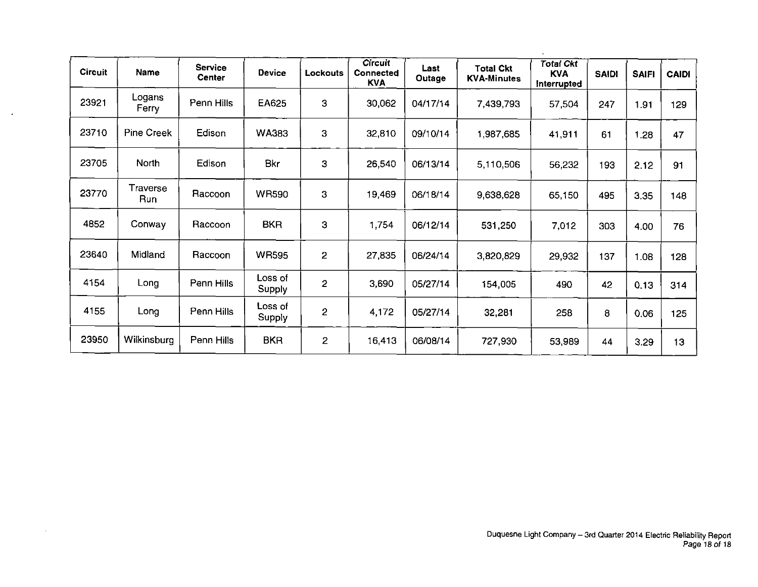| <b>Circuit</b> | Name                   | <b>Service</b><br><b>Center</b> | <b>Device</b>     | Lockouts       | <b>Circuit</b><br><b>Connected</b><br><b>KVA</b> | Last<br>Outage | <b>Total Ckt</b><br><b>KVA-Minutes</b> | <b>Total Ckt</b><br><b>KVA</b><br>interrupted | <b>SAIDI</b> | <b>SAIFI</b> | <b>CAIDI</b> |
|----------------|------------------------|---------------------------------|-------------------|----------------|--------------------------------------------------|----------------|----------------------------------------|-----------------------------------------------|--------------|--------------|--------------|
| 23921          | Logans<br>Ferry        | Penn Hills                      | EA625             | 3              | 30,062                                           | 04/17/14       | 7,439,793                              | 57,504                                        | 247          | 1.91         | 129          |
| 23710          | <b>Pine Creek</b>      | Edison                          | <b>WA383</b>      | 3              | 32,810                                           | 09/10/14       | 1,987,685                              | 41,911                                        | 61           | 1,28         | 47           |
| 23705          | North                  | Edison                          | <b>Bkr</b>        | 3              | 26,540                                           | 06/13/14       | 5,110,506                              | 56,232                                        | 193          | 2.12         | 91           |
| 23770          | Traverse<br><b>Run</b> | Raccoon                         | <b>WR590</b>      | 3              | 19,469                                           | 06/18/14       | 9,638,628                              | 65,150                                        | 495          | 3.35         | 148          |
| 4852           | Conway                 | Raccoon                         | <b>BKR</b>        | 3              | 1,754                                            | 06/12/14       | 531,250                                | 7.012                                         | 303          | 4.00         | 76           |
| 23640          | Midland                | Raccoon                         | <b>WR595</b>      | $\overline{2}$ | 27,835                                           | 06/24/14       | 3,820,829                              | 29,932                                        | 137          | 1.08         | 128          |
| 4154           | Long                   | Penn Hills                      | Loss of<br>Supply | $\overline{c}$ | 3,690                                            | 05/27/14       | 154,005                                | 490                                           | 42           | 0.13         | 314          |
| 4155           | Long                   | Penn Hills                      | Loss of<br>Supply | $\overline{c}$ | 4 172                                            | 05/27/14       | 32,281                                 | 258                                           | 8            | 0.06         | 125          |
| 23950          | Wilkinsburg            | Penn Hills                      | <b>BKR</b>        | $\overline{2}$ | 16,413                                           | 06/08/14       | 727,930                                | 53,989                                        | 44           | 3.29         | 13           |

 $\mathcal{L}$ 

 $\sim 10^7$